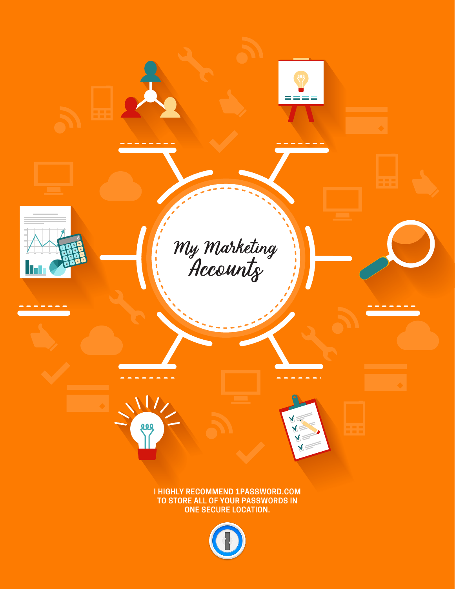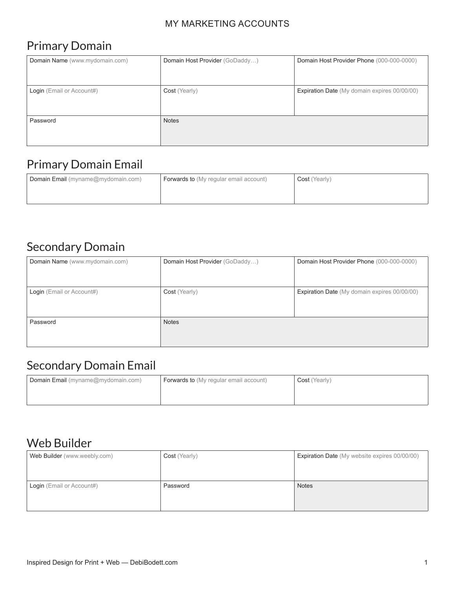#### MY MARKETING ACCOUNTS

### Primary Domain

| Domain Name (www.mydomain.com) | Domain Host Provider (GoDaddy) | Domain Host Provider Phone (000-000-0000)    |
|--------------------------------|--------------------------------|----------------------------------------------|
|                                |                                |                                              |
| Login (Email or Account#)      | Cost (Yearly)                  | Expiration Date (My domain expires 00/00/00) |
|                                |                                |                                              |
|                                |                                |                                              |
| Password                       | <b>Notes</b>                   |                                              |
|                                |                                |                                              |

#### Primary Domain Email

| Cost (Yearly) | <b>Forwards to</b> (My regular email account) | Domain Email (myname@mydomain.com) |
|---------------|-----------------------------------------------|------------------------------------|
|               |                                               |                                    |
|               |                                               |                                    |

#### Secondary Domain

| Domain Name (www.mydomain.com) | Domain Host Provider (GoDaddy) | Domain Host Provider Phone (000-000-0000)           |
|--------------------------------|--------------------------------|-----------------------------------------------------|
|                                |                                |                                                     |
| Login (Email or Account#)      | Cost (Yearly)                  | <b>Expiration Date</b> (My domain expires 00/00/00) |
|                                |                                |                                                     |
|                                |                                |                                                     |
| Password                       | <b>Notes</b>                   |                                                     |
|                                |                                |                                                     |
|                                |                                |                                                     |

### Secondary Domain Email

| Domain Email (myname@mydomain.com) | <b>Forwards to</b> (My regular email account) | Cost (Yearly) |
|------------------------------------|-----------------------------------------------|---------------|
|                                    |                                               |               |
|                                    |                                               |               |

#### Web Builder

| Web Builder (www.weebly.com) | Cost (Yearly) | Expiration Date (My website expires 00/00/00) |
|------------------------------|---------------|-----------------------------------------------|
|                              |               |                                               |
|                              |               |                                               |
| Login (Email or Account#)    | Password      | <b>Notes</b>                                  |
|                              |               |                                               |
|                              |               |                                               |
|                              |               |                                               |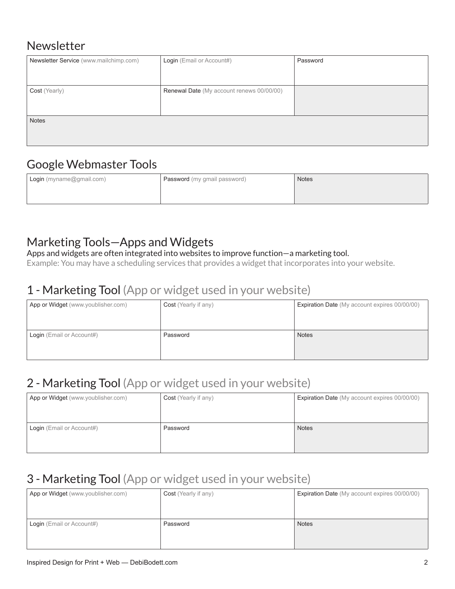#### Newsletter

| Newsletter Service (www.mailchimp.com) | Login (Email or Account#)                 | Password |
|----------------------------------------|-------------------------------------------|----------|
|                                        |                                           |          |
| Cost (Yearly)                          | Renewal Date (My account renews 00/00/00) |          |
|                                        |                                           |          |
| <b>Notes</b>                           |                                           |          |
|                                        |                                           |          |

#### Google Webmaster Tools

| Login (myname@gmail.com) | <b>Password</b> (my gmail password) | <b>Notes</b> |
|--------------------------|-------------------------------------|--------------|
|                          |                                     |              |
|                          |                                     |              |

#### Marketing Tools—Apps and Widgets

Apps and widgets are often integrated into websites to improve function—a marketing tool.

Example: You may have a scheduling services that provides a widget that incorporates into your website.

#### 1 - Marketing Tool (App or widget used in your website)

| App or Widget (www.youblisher.com) | <b>Cost</b> (Yearly if any) | Expiration Date (My account expires 00/00/00) |
|------------------------------------|-----------------------------|-----------------------------------------------|
|                                    |                             |                                               |
| Login (Email or Account#)          | Password                    | <b>Notes</b>                                  |
|                                    |                             |                                               |
|                                    |                             |                                               |

# 2 - Marketing Tool (App or widget used in your website)

| App or Widget (www.youblisher.com) | <b>Cost</b> (Yearly if any) | Expiration Date (My account expires 00/00/00) |
|------------------------------------|-----------------------------|-----------------------------------------------|
| Login (Email or Account#)          | Password                    | <b>Notes</b>                                  |

# 3 - Marketing Tool (App or widget used in your website)

| App or Widget (www.youblisher.com) | <b>Cost</b> (Yearly if any) | Expiration Date (My account expires 00/00/00) |
|------------------------------------|-----------------------------|-----------------------------------------------|
|                                    |                             |                                               |
|                                    |                             |                                               |
| Login (Email or Account#)          | Password                    | <b>Notes</b>                                  |
|                                    |                             |                                               |
|                                    |                             |                                               |
|                                    |                             |                                               |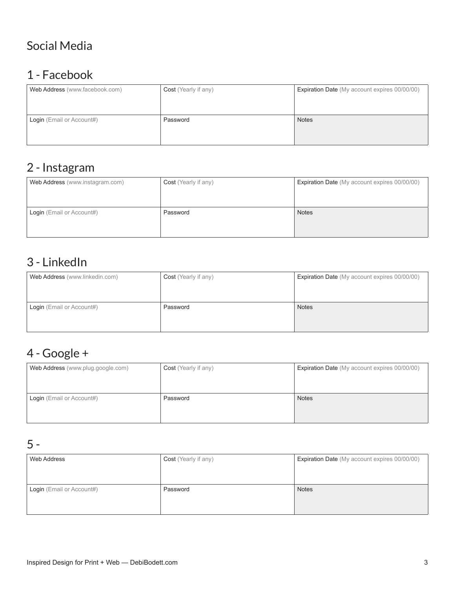# Social Media

#### 1 - Facebook

| Web Address (www.facebook.com) | <b>Cost</b> (Yearly if any) | Expiration Date (My account expires 00/00/00) |
|--------------------------------|-----------------------------|-----------------------------------------------|
| Login (Email or Account#)      | Password                    | <b>Notes</b>                                  |

# 2 - Instagram

| Web Address (www.instagram.com) | <b>Cost</b> (Yearly if any) | Expiration Date (My account expires 00/00/00) |
|---------------------------------|-----------------------------|-----------------------------------------------|
| Login (Email or Account#)       | Password                    | <b>Notes</b>                                  |

### 3 - LinkedIn

| Web Address (www.linkedin.com) | <b>Cost</b> (Yearly if any) | Expiration Date (My account expires 00/00/00) |
|--------------------------------|-----------------------------|-----------------------------------------------|
| Login (Email or Account#)      | Password                    | <b>Notes</b>                                  |

# 4 - Google +

| Web Address (www.plug.google.com) | <b>Cost</b> (Yearly if any) | Expiration Date (My account expires 00/00/00) |
|-----------------------------------|-----------------------------|-----------------------------------------------|
|                                   |                             |                                               |
|                                   |                             |                                               |
| <b>Login</b> (Email or Account#)  | Password                    | <b>Notes</b>                                  |
|                                   |                             |                                               |
|                                   |                             |                                               |

5 -

| Web Address               | <b>Cost</b> (Yearly if any) | Expiration Date (My account expires 00/00/00) |
|---------------------------|-----------------------------|-----------------------------------------------|
| Login (Email or Account#) | Password                    | <b>Notes</b>                                  |